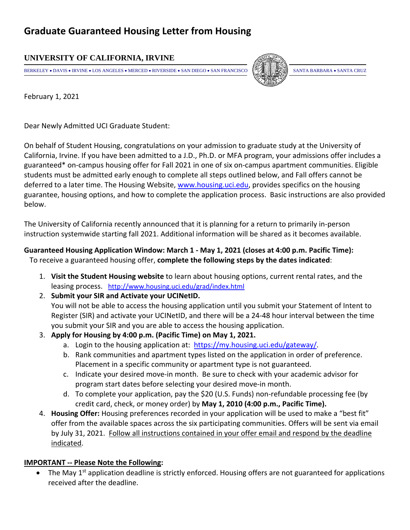## **Graduate Guaranteed Housing Letter from Housing**

### **UNIVERSITY OF CALIFORNIA, IRVINE**

BERKELEY • DAVIS • IRVINE • LOS ANGELES • MERCED • RIVERSIDE • SAN DIEGO • SAN FRANCISCO  $\Box$  SANTA BARBARA • SANTA CRUZ



February 1, 2021

Dear Newly Admitted UCI Graduate Student:

On behalf of Student Housing, congratulations on your admission to graduate study at the University of California, Irvine. If you have been admitted to a J.D., Ph.D. or MFA program, your admissions offer includes a guaranteed\* on‐campus housing offer for Fall 2021 in one of six on‐campus apartment communities. Eligible students must be admitted early enough to complete all steps outlined below, and Fall offers cannot be deferred to a later time. The Housing Website, www.housing.uci.edu, provides specifics on the housing guarantee, housing options, and how to complete the application process. Basic instructions are also provided below.

The University of California recently announced that it is planning for a return to primarily in‐person instruction systemwide starting fall 2021. Additional information will be shared as it becomes available.

# **Guaranteed Housing Application Window: March 1 ‐ May 1, 2021 (closes at 4:00 p.m. Pacific Time):**

To receive a guaranteed housing offer, **complete the following steps by the dates indicated**:

- 1. **Visit the Student Housing website** to learn about housing options, current rental rates, and the leasing process. http://www.housing.uci.edu/grad/index.html
- 2. **Submit your SIR and Activate your UCINetID.**  You will not be able to access the housing application until you submit your Statement of Intent to Register (SIR) and activate your UCINetID, and there will be a 24‐48 hour interval between the time you submit your SIR and you are able to access the housing application.
- 3. **Apply for Housing by 4:00 p.m. (Pacific Time) on May 1, 2021.**
	- a. Login to the housing application at: https://my.housing.uci.edu/gateway/.
	- b. Rank communities and apartment types listed on the application in order of preference. Placement in a specific community or apartment type is not guaranteed.
	- c. Indicate your desired move‐in month. Be sure to check with your academic advisor for program start dates before selecting your desired move‐in month.
	- d. To complete your application, pay the \$20 (U.S. Funds) non‐refundable processing fee (by credit card, check, or money order) by **May 1, 2010 (4:00 p.m., Pacific Time).**
- 4. **Housing Offer:** Housing preferences recorded in your application will be used to make a "best fit" offer from the available spaces across the six participating communities. Offers will be sent via email by July 31, 2021. Follow all instructions contained in your offer email and respond by the deadline indicated.

#### **IMPORTANT ‐‐ Please Note the Following:**

The May 1<sup>st</sup> application deadline is strictly enforced. Housing offers are not guaranteed for applications received after the deadline.